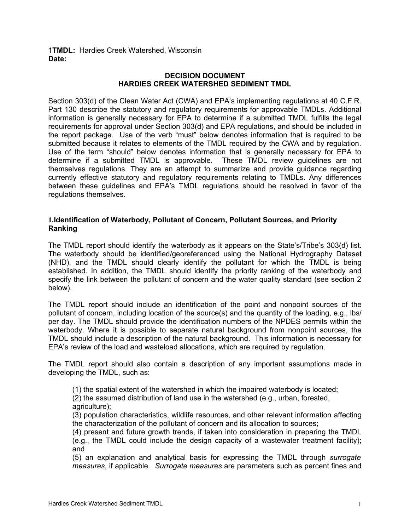### 1**TMDL:** Hardies Creek Watershed, Wisconsin **Date:**

#### **DECISION DOCUMENT HARDIES CREEK WATERSHED SEDIMENT TMDL**

Section 303(d) of the Clean Water Act (CWA) and EPA's implementing regulations at 40 C.F.R. Part 130 describe the statutory and regulatory requirements for approvable TMDLs. Additional information is generally necessary for EPA to determine if a submitted TMDL fulfills the legal requirements for approval under Section 303(d) and EPA regulations, and should be included in the report package. Use of the verb "must" below denotes information that is required to be submitted because it relates to elements of the TMDL required by the CWA and by regulation. Use of the term "should" below denotes information that is generally necessary for EPA to determine if a submitted TMDL is approvable. These TMDL review guidelines are not themselves regulations. They are an attempt to summarize and provide guidance regarding currently effective statutory and regulatory requirements relating to TMDLs. Any differences between these guidelines and EPA's TMDL regulations should be resolved in favor of the regulations themselves.

## **1.Identification of Waterbody, Pollutant of Concern, Pollutant Sources, and Priority Ranking**

The TMDL report should identify the waterbody as it appears on the State's/Tribe's 303(d) list. The waterbody should be identified/georeferenced using the National Hydrography Dataset (NHD), and the TMDL should clearly identify the pollutant for which the TMDL is being established. In addition, the TMDL should identify the priority ranking of the waterbody and specify the link between the pollutant of concern and the water quality standard (see section 2 below).

The TMDL report should include an identification of the point and nonpoint sources of the pollutant of concern, including location of the source(s) and the quantity of the loading, e.g., lbs/ per day. The TMDL should provide the identification numbers of the NPDES permits within the waterbody. Where it is possible to separate natural background from nonpoint sources, the TMDL should include a description of the natural background. This information is necessary for EPA's review of the load and wasteload allocations, which are required by regulation.

The TMDL report should also contain a description of any important assumptions made in developing the TMDL, such as:

(1) the spatial extent of the watershed in which the impaired waterbody is located;

(2) the assumed distribution of land use in the watershed (e.g., urban, forested, agriculture);

(3) population characteristics, wildlife resources, and other relevant information affecting the characterization of the pollutant of concern and its allocation to sources;

(4) present and future growth trends, if taken into consideration in preparing the TMDL (e.g., the TMDL could include the design capacity of a wastewater treatment facility); and

(5) an explanation and analytical basis for expressing the TMDL through *surrogate measures*, if applicable. *Surrogate measures* are parameters such as percent fines and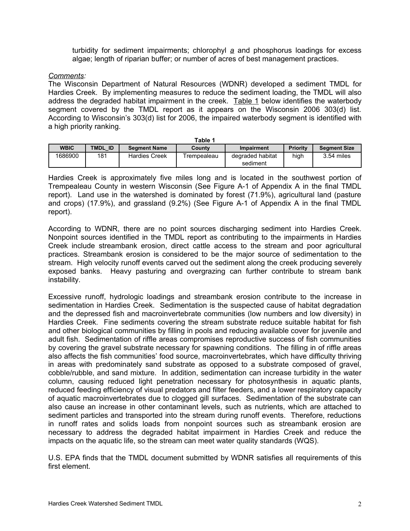turbidity for sediment impairments; chlorophyl *a* and phosphorus loadings for excess algae; length of riparian buffer; or number of acres of best management practices.

*Comments:*

The Wisconsin Department of Natural Resources (WDNR) developed a sediment TMDL for Hardies Creek. By implementing measures to reduce the sediment loading, the TMDL will also address the degraded habitat impairment in the creek. Table 1 below identifies the waterbody segment covered by the TMDL report as it appears on the Wisconsin 2006 303(d) list. According to Wisconsin's 303(d) list for 2006, the impaired waterbody segment is identified with a high priority ranking.

| Table 1     |                                |                      |             |                              |                                        |              |
|-------------|--------------------------------|----------------------|-------------|------------------------------|----------------------------------------|--------------|
| <b>WBIC</b> | TMDL ID<br><b>Seament Name</b> |                      | County      | <b>Impairment</b>            | <b>Priority</b><br><b>Segment Size</b> |              |
| 1686900     | 181                            | <b>Hardies Creek</b> | Trempealeau | degraded habitat<br>sediment | high                                   | $3.54$ miles |

Hardies Creek is approximately five miles long and is located in the southwest portion of Trempealeau County in western Wisconsin (See Figure A-1 of Appendix A in the final TMDL report). Land use in the watershed is dominated by forest (71.9%), agricultural land (pasture and crops) (17.9%), and grassland (9.2%) (See Figure A-1 of Appendix A in the final TMDL report).

According to WDNR, there are no point sources discharging sediment into Hardies Creek. Nonpoint sources identified in the TMDL report as contributing to the impairments in Hardies Creek include streambank erosion, direct cattle access to the stream and poor agricultural practices. Streambank erosion is considered to be the major source of sedimentation to the stream. High velocity runoff events carved out the sediment along the creek producing severely exposed banks. Heavy pasturing and overgrazing can further contribute to stream bank instability.

Excessive runoff, hydrologic loadings and streambank erosion contribute to the increase in sedimentation in Hardies Creek. Sedimentation is the suspected cause of habitat degradation and the depressed fish and macroinvertebrate communities (low numbers and low diversity) in Hardies Creek. Fine sediments covering the stream substrate reduce suitable habitat for fish and other biological communities by filling in pools and reducing available cover for juvenile and adult fish. Sedimentation of riffle areas compromises reproductive success of fish communities by covering the gravel substrate necessary for spawning conditions. The filling in of riffle areas also affects the fish communities' food source, macroinvertebrates, which have difficulty thriving in areas with predominately sand substrate as opposed to a substrate composed of gravel, cobble/rubble, and sand mixture. In addition, sedimentation can increase turbidity in the water column, causing reduced light penetration necessary for photosynthesis in aquatic plants, reduced feeding efficiency of visual predators and filter feeders, and a lower respiratory capacity of aquatic macroinvertebrates due to clogged gill surfaces. Sedimentation of the substrate can also cause an increase in other contaminant levels, such as nutrients, which are attached to sediment particles and transported into the stream during runoff events. Therefore, reductions in runoff rates and solids loads from nonpoint sources such as streambank erosion are necessary to address the degraded habitat impairment in Hardies Creek and reduce the impacts on the aquatic life, so the stream can meet water quality standards (WQS).

U.S. EPA finds that the TMDL document submitted by WDNR satisfies all requirements of this first element.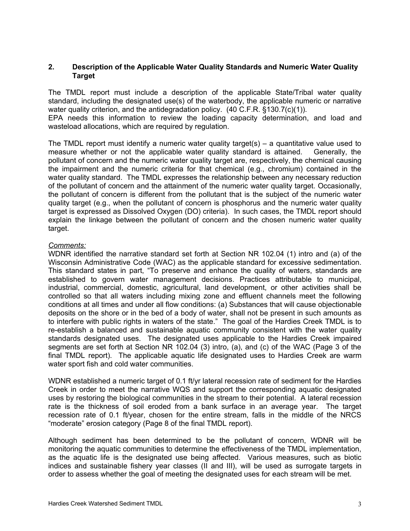## **2. Description of the Applicable Water Quality Standards and Numeric Water Quality Target**

The TMDL report must include a description of the applicable State/Tribal water quality standard, including the designated use(s) of the waterbody, the applicable numeric or narrative water quality criterion, and the antidegradation policy. (40 C.F.R. §130.7(c)(1)).

EPA needs this information to review the loading capacity determination, and load and wasteload allocations, which are required by regulation.

The TMDL report must identify a numeric water quality target(s) – a quantitative value used to measure whether or not the applicable water quality standard is attained. Generally, the pollutant of concern and the numeric water quality target are, respectively, the chemical causing the impairment and the numeric criteria for that chemical (e.g., chromium) contained in the water quality standard. The TMDL expresses the relationship between any necessary reduction of the pollutant of concern and the attainment of the numeric water quality target. Occasionally, the pollutant of concern is different from the pollutant that is the subject of the numeric water quality target (e.g., when the pollutant of concern is phosphorus and the numeric water quality target is expressed as Dissolved Oxygen (DO) criteria). In such cases, the TMDL report should explain the linkage between the pollutant of concern and the chosen numeric water quality target.

### *Comments:*

WDNR identified the narrative standard set forth at Section NR 102.04 (1) intro and (a) of the Wisconsin Administrative Code (WAC) as the applicable standard for excessive sedimentation. This standard states in part, "To preserve and enhance the quality of waters, standards are established to govern water management decisions. Practices attributable to municipal, industrial, commercial, domestic, agricultural, land development, or other activities shall be controlled so that all waters including mixing zone and effluent channels meet the following conditions at all times and under all flow conditions: (a) Substances that will cause objectionable deposits on the shore or in the bed of a body of water, shall not be present in such amounts as to interfere with public rights in waters of the state." The goal of the Hardies Creek TMDL is to re-establish a balanced and sustainable aquatic community consistent with the water quality standards designated uses. The designated uses applicable to the Hardies Creek impaired segments are set forth at Section NR 102.04 (3) intro, (a), and (c) of the WAC (Page 3 of the final TMDL report). The applicable aquatic life designated uses to Hardies Creek are warm water sport fish and cold water communities.

WDNR established a numeric target of 0.1 ft/yr lateral recession rate of sediment for the Hardies Creek in order to meet the narrative WQS and support the corresponding aquatic designated uses by restoring the biological communities in the stream to their potential. A lateral recession rate is the thickness of soil eroded from a bank surface in an average year. The target recession rate of 0.1 ft/year, chosen for the entire stream, falls in the middle of the NRCS "moderate" erosion category (Page 8 of the final TMDL report).

Although sediment has been determined to be the pollutant of concern, WDNR will be monitoring the aquatic communities to determine the effectiveness of the TMDL implementation, as the aquatic life is the designated use being affected. Various measures, such as biotic indices and sustainable fishery year classes (II and III), will be used as surrogate targets in order to assess whether the goal of meeting the designated uses for each stream will be met.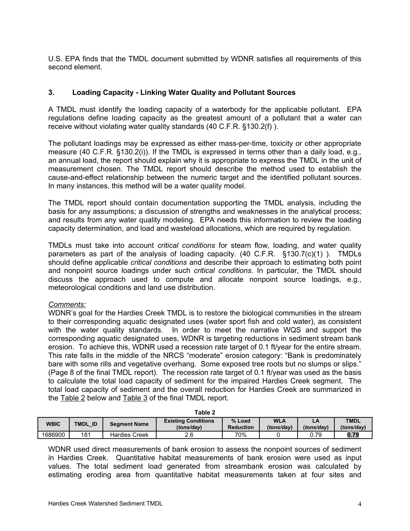U.S. EPA finds that the TMDL document submitted by WDNR satisfies all requirements of this second element.

## **3. Loading Capacity - Linking Water Quality and Pollutant Sources**

A TMDL must identify the loading capacity of a waterbody for the applicable pollutant. EPA regulations define loading capacity as the greatest amount of a pollutant that a water can receive without violating water quality standards (40 C.F.R. §130.2(f) ).

The pollutant loadings may be expressed as either mass-per-time, toxicity or other appropriate measure (40 C.F.R. §130.2(i)). If the TMDL is expressed in terms other than a daily load, e.g., an annual load, the report should explain why it is appropriate to express the TMDL in the unit of measurement chosen. The TMDL report should describe the method used to establish the cause-and-effect relationship between the numeric target and the identified pollutant sources. In many instances, this method will be a water quality model.

The TMDL report should contain documentation supporting the TMDL analysis, including the basis for any assumptions; a discussion of strengths and weaknesses in the analytical process; and results from any water quality modeling. EPA needs this information to review the loading capacity determination, and load and wasteload allocations, which are required by regulation.

TMDLs must take into account *critical conditions* for steam flow, loading, and water quality parameters as part of the analysis of loading capacity. (40 C.F.R. §130.7(c)(1) ). TMDLs should define applicable *critical conditions* and describe their approach to estimating both point and nonpoint source loadings under such *critical conditions*. In particular, the TMDL should discuss the approach used to compute and allocate nonpoint source loadings, e.g., meteorological conditions and land use distribution.

#### *Comments:*

WDNR's goal for the Hardies Creek TMDL is to restore the biological communities in the stream to their corresponding aquatic designated uses (water sport fish and cold water), as consistent with the water quality standards. In order to meet the narrative WQS and support the corresponding aquatic designated uses, WDNR is targeting reductions in sediment stream bank erosion. To achieve this, WDNR used a recession rate target of 0.1 ft/year for the entire stream. This rate falls in the middle of the NRCS "moderate" erosion category: "Bank is predominately bare with some rills and vegetative overhang. Some exposed tree roots but no slumps or slips." (Page 8 of the final TMDL report). The recession rate target of 0.1 ft/year was used as the basis to calculate the total load capacity of sediment for the impaired Hardies Creek segment. The total load capacity of sediment and the overall reduction for Hardies Creek are summarized in the Table 2 below and Table 3 of the final TMDL report.

| Table Z     |                   |                      |                                          |                            |                          |            |                           |
|-------------|-------------------|----------------------|------------------------------------------|----------------------------|--------------------------|------------|---------------------------|
| <b>WBIC</b> | <b>TMDL</b><br>ID | <b>Seament Name</b>  | <b>Existing Conditions</b><br>(tons/day) | % Load<br><b>Reduction</b> | <b>WLA</b><br>(tons/dav) | (tons/day) | <b>TMDL</b><br>(tons/dav) |
| 1686900     | 181               | <b>Hardies Creek</b> | 2.6                                      | 70%                        |                          | ิว.79      | 0.79                      |

**Table 2**

WDNR used direct measurements of bank erosion to assess the nonpoint sources of sediment in Hardies Creek. Quantitative habitat measurements of bank erosion were used as input values. The total sediment load generated from streambank erosion was calculated by estimating eroding area from quantitative habitat measurements taken at four sites and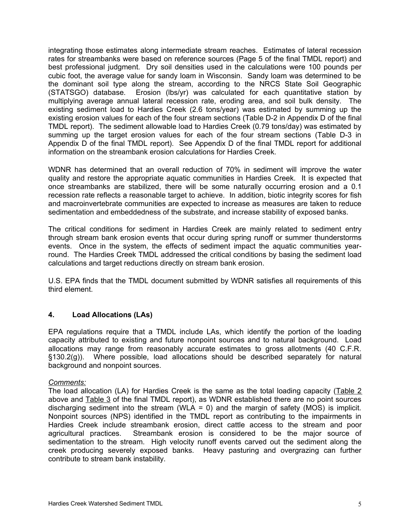integrating those estimates along intermediate stream reaches. Estimates of lateral recession rates for streambanks were based on reference sources (Page 5 of the final TMDL report) and best professional judgment. Dry soil densities used in the calculations were 100 pounds per cubic foot, the average value for sandy loam in Wisconsin. Sandy loam was determined to be the dominant soil type along the stream, according to the NRCS State Soil Geographic (STATSGO) database. Erosion (lbs/yr) was calculated for each quantitative station by multiplying average annual lateral recession rate, eroding area, and soil bulk density. The existing sediment load to Hardies Creek (2.6 tons/year) was estimated by summing up the existing erosion values for each of the four stream sections (Table D-2 in Appendix D of the final TMDL report). The sediment allowable load to Hardies Creek (0.79 tons/day) was estimated by summing up the target erosion values for each of the four stream sections (Table D-3 in Appendix D of the final TMDL report). See Appendix D of the final TMDL report for additional information on the streambank erosion calculations for Hardies Creek.

WDNR has determined that an overall reduction of 70% in sediment will improve the water quality and restore the appropriate aquatic communities in Hardies Creek. It is expected that once streambanks are stabilized, there will be some naturally occurring erosion and a 0.1 recession rate reflects a reasonable target to achieve. In addition, biotic integrity scores for fish and macroinvertebrate communities are expected to increase as measures are taken to reduce sedimentation and embeddedness of the substrate, and increase stability of exposed banks.

The critical conditions for sediment in Hardies Creek are mainly related to sediment entry through stream bank erosion events that occur during spring runoff or summer thunderstorms events. Once in the system, the effects of sediment impact the aquatic communities yearround. The Hardies Creek TMDL addressed the critical conditions by basing the sediment load calculations and target reductions directly on stream bank erosion.

U.S. EPA finds that the TMDL document submitted by WDNR satisfies all requirements of this third element.

# **4. Load Allocations (LAs)**

EPA regulations require that a TMDL include LAs, which identify the portion of the loading capacity attributed to existing and future nonpoint sources and to natural background. Load allocations may range from reasonably accurate estimates to gross allotments (40 C.F.R. §130.2(g)). Where possible, load allocations should be described separately for natural background and nonpoint sources.

## *Comments:*

The load allocation (LA) for Hardies Creek is the same as the total loading capacity (Table 2 above and Table 3 of the final TMDL report), as WDNR established there are no point sources discharging sediment into the stream (WLA = 0) and the margin of safety (MOS) is implicit. Nonpoint sources (NPS) identified in the TMDL report as contributing to the impairments in Hardies Creek include streambank erosion, direct cattle access to the stream and poor agricultural practices. Streambank erosion is considered to be the major source of sedimentation to the stream. High velocity runoff events carved out the sediment along the creek producing severely exposed banks. Heavy pasturing and overgrazing can further contribute to stream bank instability.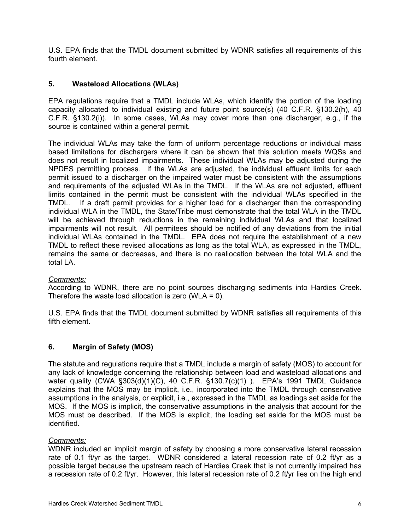U.S. EPA finds that the TMDL document submitted by WDNR satisfies all requirements of this fourth element.

# **5. Wasteload Allocations (WLAs)**

EPA regulations require that a TMDL include WLAs, which identify the portion of the loading capacity allocated to individual existing and future point source(s) (40 C.F.R. §130.2(h), 40 C.F.R. §130.2(i)). In some cases, WLAs may cover more than one discharger, e.g., if the source is contained within a general permit.

The individual WLAs may take the form of uniform percentage reductions or individual mass based limitations for dischargers where it can be shown that this solution meets WQSs and does not result in localized impairments. These individual WLAs may be adjusted during the NPDES permitting process. If the WLAs are adjusted, the individual effluent limits for each permit issued to a discharger on the impaired water must be consistent with the assumptions and requirements of the adjusted WLAs in the TMDL. If the WLAs are not adjusted, effluent limits contained in the permit must be consistent with the individual WLAs specified in the TMDL. If a draft permit provides for a higher load for a discharger than the corresponding individual WLA in the TMDL, the State/Tribe must demonstrate that the total WLA in the TMDL will be achieved through reductions in the remaining individual WLAs and that localized impairments will not result. All permitees should be notified of any deviations from the initial individual WLAs contained in the TMDL. EPA does not require the establishment of a new TMDL to reflect these revised allocations as long as the total WLA, as expressed in the TMDL, remains the same or decreases, and there is no reallocation between the total WLA and the total LA.

## *Comments:*

According to WDNR, there are no point sources discharging sediments into Hardies Creek. Therefore the waste load allocation is zero (WLA =  $0$ ).

U.S. EPA finds that the TMDL document submitted by WDNR satisfies all requirements of this fifth element.

## **6. Margin of Safety (MOS)**

The statute and regulations require that a TMDL include a margin of safety (MOS) to account for any lack of knowledge concerning the relationship between load and wasteload allocations and water quality (CWA §303(d)(1)(C), 40 C.F.R. §130.7(c)(1) ). EPA's 1991 TMDL Guidance explains that the MOS may be implicit, i.e., incorporated into the TMDL through conservative assumptions in the analysis, or explicit, i.e., expressed in the TMDL as loadings set aside for the MOS. If the MOS is implicit, the conservative assumptions in the analysis that account for the MOS must be described. If the MOS is explicit, the loading set aside for the MOS must be identified.

## *Comments:*

WDNR included an implicit margin of safety by choosing a more conservative lateral recession rate of 0.1 ft/yr as the target. WDNR considered a lateral recession rate of 0.2 ft/yr as a possible target because the upstream reach of Hardies Creek that is not currently impaired has a recession rate of 0.2 ft/yr. However, this lateral recession rate of 0.2 ft/yr lies on the high end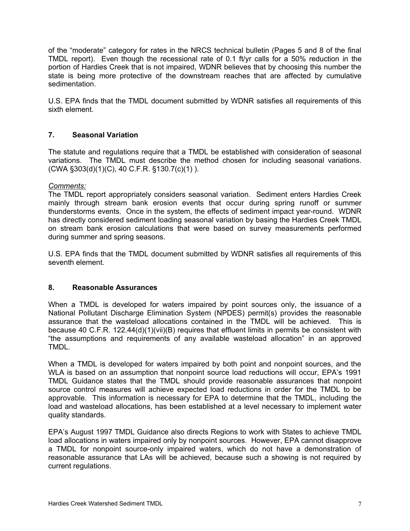of the "moderate" category for rates in the NRCS technical bulletin (Pages 5 and 8 of the final TMDL report). Even though the recessional rate of 0.1 ft/yr calls for a 50% reduction in the portion of Hardies Creek that is not impaired, WDNR believes that by choosing this number the state is being more protective of the downstream reaches that are affected by cumulative sedimentation.

U.S. EPA finds that the TMDL document submitted by WDNR satisfies all requirements of this sixth element.

# **7. Seasonal Variation**

The statute and regulations require that a TMDL be established with consideration of seasonal variations. The TMDL must describe the method chosen for including seasonal variations. (CWA §303(d)(1)(C), 40 C.F.R. §130.7(c)(1) ).

### *Comments:*

The TMDL report appropriately considers seasonal variation. Sediment enters Hardies Creek mainly through stream bank erosion events that occur during spring runoff or summer thunderstorms events. Once in the system, the effects of sediment impact year-round. WDNR has directly considered sediment loading seasonal variation by basing the Hardies Creek TMDL on stream bank erosion calculations that were based on survey measurements performed during summer and spring seasons.

U.S. EPA finds that the TMDL document submitted by WDNR satisfies all requirements of this seventh element.

### **8. Reasonable Assurances**

When a TMDL is developed for waters impaired by point sources only, the issuance of a National Pollutant Discharge Elimination System (NPDES) permit(s) provides the reasonable assurance that the wasteload allocations contained in the TMDL will be achieved. This is because 40 C.F.R. 122.44(d)(1)(vii)(B) requires that effluent limits in permits be consistent with "the assumptions and requirements of any available wasteload allocation" in an approved TMDL.

When a TMDL is developed for waters impaired by both point and nonpoint sources, and the WLA is based on an assumption that nonpoint source load reductions will occur, EPA's 1991 TMDL Guidance states that the TMDL should provide reasonable assurances that nonpoint source control measures will achieve expected load reductions in order for the TMDL to be approvable. This information is necessary for EPA to determine that the TMDL, including the load and wasteload allocations, has been established at a level necessary to implement water quality standards.

EPA's August 1997 TMDL Guidance also directs Regions to work with States to achieve TMDL load allocations in waters impaired only by nonpoint sources. However, EPA cannot disapprove a TMDL for nonpoint source-only impaired waters, which do not have a demonstration of reasonable assurance that LAs will be achieved, because such a showing is not required by current regulations.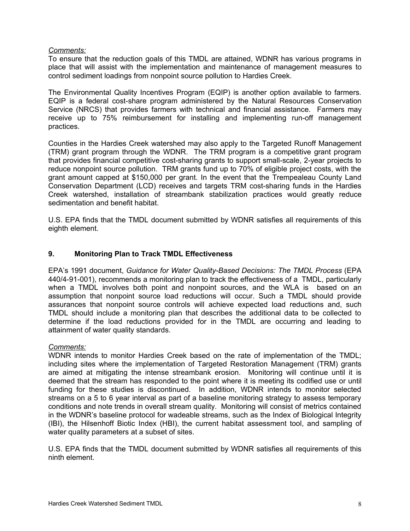## *Comments:*

To ensure that the reduction goals of this TMDL are attained, WDNR has various programs in place that will assist with the implementation and maintenance of management measures to control sediment loadings from nonpoint source pollution to Hardies Creek.

The Environmental Quality Incentives Program (EQIP) is another option available to farmers. EQIP is a federal cost-share program administered by the Natural Resources Conservation Service (NRCS) that provides farmers with technical and financial assistance. Farmers may receive up to 75% reimbursement for installing and implementing run-off management practices.

Counties in the Hardies Creek watershed may also apply to the Targeted Runoff Management (TRM) grant program through the WDNR. The TRM program is a competitive grant program that provides financial competitive cost-sharing grants to support small-scale, 2-year projects to reduce nonpoint source pollution. TRM grants fund up to 70% of eligible project costs, with the grant amount capped at \$150,000 per grant. In the event that the Trempealeau County Land Conservation Department (LCD) receives and targets TRM cost-sharing funds in the Hardies Creek watershed, installation of streambank stabilization practices would greatly reduce sedimentation and benefit habitat.

U.S. EPA finds that the TMDL document submitted by WDNR satisfies all requirements of this eighth element.

# **9. Monitoring Plan to Track TMDL Effectiveness**

EPA's 1991 document, *Guidance for Water Quality-Based Decisions: The TMDL Process* (EPA 440/4-91-001), recommends a monitoring plan to track the effectiveness of a TMDL, particularly when a TMDL involves both point and nonpoint sources, and the WLA is based on an assumption that nonpoint source load reductions will occur. Such a TMDL should provide assurances that nonpoint source controls will achieve expected load reductions and, such TMDL should include a monitoring plan that describes the additional data to be collected to determine if the load reductions provided for in the TMDL are occurring and leading to attainment of water quality standards.

## *Comments:*

WDNR intends to monitor Hardies Creek based on the rate of implementation of the TMDL; including sites where the implementation of Targeted Restoration Management (TRM) grants are aimed at mitigating the intense streambank erosion. Monitoring will continue until it is deemed that the stream has responded to the point where it is meeting its codified use or until funding for these studies is discontinued. In addition, WDNR intends to monitor selected streams on a 5 to 6 year interval as part of a baseline monitoring strategy to assess temporary conditions and note trends in overall stream quality. Monitoring will consist of metrics contained in the WDNR's baseline protocol for wadeable streams, such as the Index of Biological Integrity (IBI), the Hilsenhoff Biotic Index (HBI), the current habitat assessment tool, and sampling of water quality parameters at a subset of sites.

U.S. EPA finds that the TMDL document submitted by WDNR satisfies all requirements of this ninth element.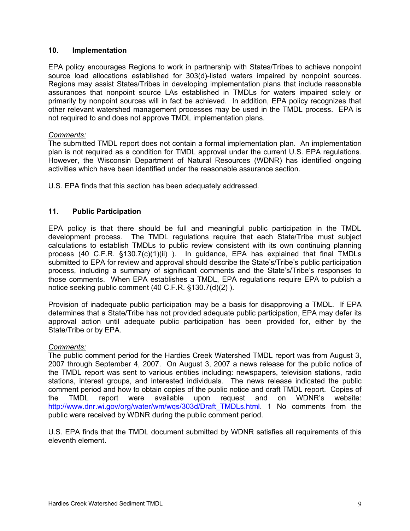## **10. Implementation**

EPA policy encourages Regions to work in partnership with States/Tribes to achieve nonpoint source load allocations established for 303(d)-listed waters impaired by nonpoint sources. Regions may assist States/Tribes in developing implementation plans that include reasonable assurances that nonpoint source LAs established in TMDLs for waters impaired solely or primarily by nonpoint sources will in fact be achieved. In addition, EPA policy recognizes that other relevant watershed management processes may be used in the TMDL process. EPA is not required to and does not approve TMDL implementation plans.

### *Comments:*

The submitted TMDL report does not contain a formal implementation plan. An implementation plan is not required as a condition for TMDL approval under the current U.S. EPA regulations. However, the Wisconsin Department of Natural Resources (WDNR) has identified ongoing activities which have been identified under the reasonable assurance section.

U.S. EPA finds that this section has been adequately addressed.

## **11. Public Participation**

EPA policy is that there should be full and meaningful public participation in the TMDL development process. The TMDL regulations require that each State/Tribe must subject calculations to establish TMDLs to public review consistent with its own continuing planning process (40 C.F.R. §130.7(c)(1)(ii) ). In guidance, EPA has explained that final TMDLs submitted to EPA for review and approval should describe the State's/Tribe's public participation process, including a summary of significant comments and the State's/Tribe's responses to those comments. When EPA establishes a TMDL, EPA regulations require EPA to publish a notice seeking public comment (40 C.F.R. §130.7(d)(2) ).

Provision of inadequate public participation may be a basis for disapproving a TMDL. If EPA determines that a State/Tribe has not provided adequate public participation, EPA may defer its approval action until adequate public participation has been provided for, either by the State/Tribe or by EPA.

#### *Comments:*

The public comment period for the Hardies Creek Watershed TMDL report was from August 3, 2007 through September 4, 2007. On August 3, 2007 a news release for the public notice of the TMDL report was sent to various entities including: newspapers, television stations, radio stations, interest groups, and interested individuals. The news release indicated the public comment period and how to obtain copies of the public notice and draft TMDL report. Copies of the TMDL report were available upon request and on WDNR's website: http://www.dnr.wi.gov/org/water/wm/wgs/303d/Draft\_TMDLs.html. 1 No comments from the public were received by WDNR during the public comment period.

U.S. EPA finds that the TMDL document submitted by WDNR satisfies all requirements of this eleventh element.